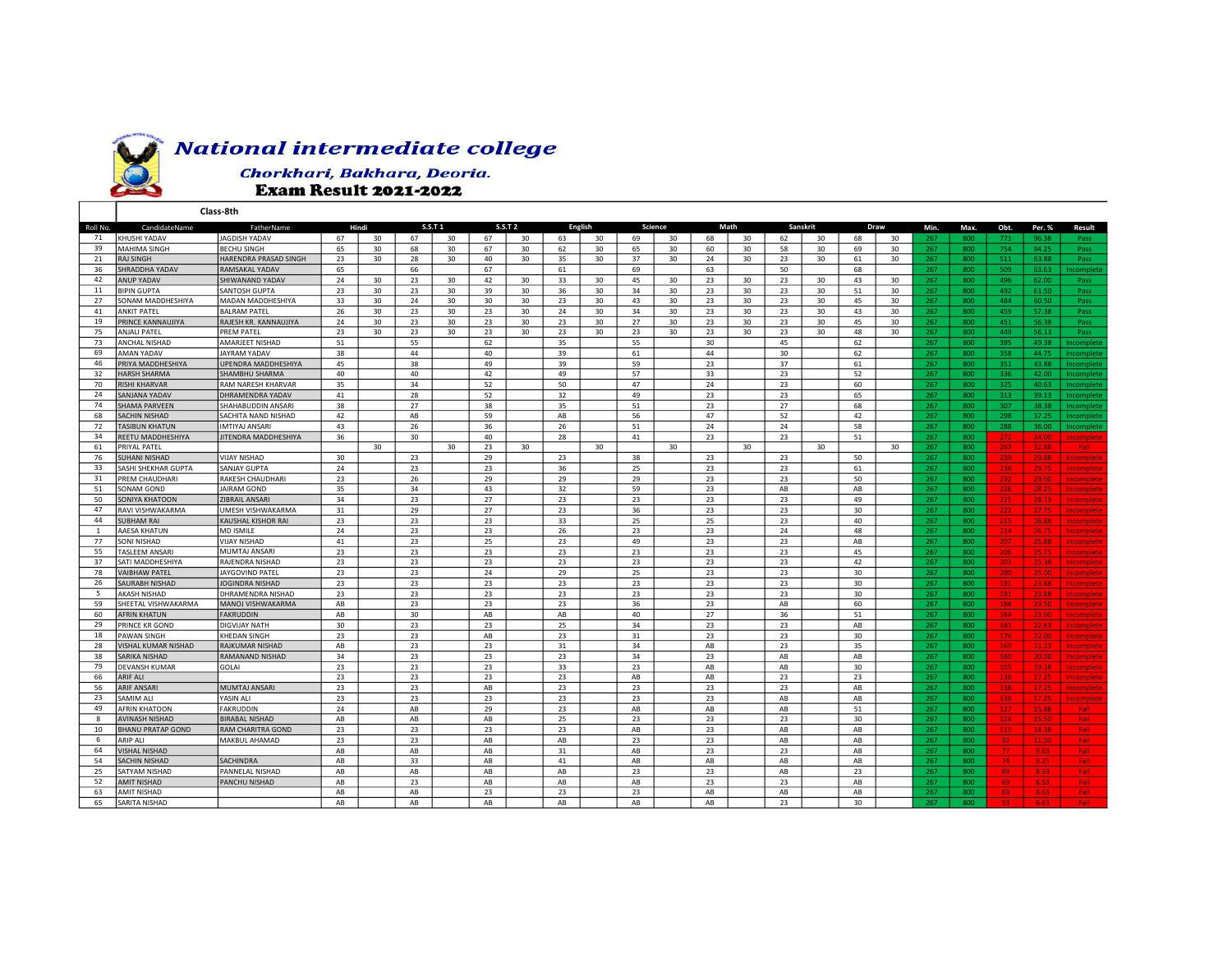

## **National intermediate college**

Chorkhari, Bakhara, Deoria. **Exam Result 2021-2022** 

|              |                                      | Class-8th                                 |          |    |                |    |                |    |                |    |          |    |          |                 |                 |    |               |    |            |            |                 |                |                               |
|--------------|--------------------------------------|-------------------------------------------|----------|----|----------------|----|----------------|----|----------------|----|----------|----|----------|-----------------|-----------------|----|---------------|----|------------|------------|-----------------|----------------|-------------------------------|
| Roll No.     | CandidateName                        | FatherName                                | Hindi    |    | <b>S.S.T 1</b> |    | <b>S.S.T 2</b> |    | <b>English</b> |    | Science  |    | Math     |                 | <b>Sanskrit</b> |    | Draw          |    | Min.       | Max.       | Obt.            | Per. %         | <b>Result</b>                 |
| 71           | KHUSHI YADAV                         | JAGDISH YADAV                             | 67       | 30 | 67             | 30 | 67             | 30 | 63             | 30 | 69       | 30 | 68       | 30              | 62              | 30 | 68            | 30 | 267        | 800        | 771             | 96.38          | Pass                          |
| 39           | MAHIMA SINGH                         | <b>BECHU SINGH</b>                        | 65       | 30 | 68             | 30 | 67             | 30 | 62             | 30 | 65       | 30 | 60       | 30              | 58              | 30 | 69            | 30 | 267        | 800        | 754             | 94.25          | Pass                          |
| 21           | <b>RAJ SINGH</b>                     | HARENDRA PRASAD SINGH                     | 23       | 30 | 28             | 30 | 40             | 30 | 35             | 30 | 37       | 30 | 24       | 30              | 23              | 30 | 61            | 30 | 267        | 800        | 511             | 63.88          | Pass                          |
| 36           | SHRADDHA YADAV                       | <b>RAMSAKAL YADAV</b>                     | 65       |    | 66             |    | 67             |    | 61             |    | 69       |    | 63       |                 | 50              |    | 68            |    | 267        | 800        | 509             | 63.63          | <b>ncomplete</b>              |
| 42           | ANUP YADAV                           | SHIWANAND YADAV                           | 24       | 30 | 23             | 30 | 42             | 30 | 33             | 30 | 45       | 30 | 23       | 30              | 23              | 30 | 43            | 30 | 267        | 800        | 496             | 62.00          | Pass                          |
| 11           | <b>BIPIN GUPTA</b>                   | SANTOSH GUPTA                             | 23       | 30 | 23             | 30 | 39             | 30 | 36             | 30 | 34       | 30 | 23       | 30              | 23              | 30 | 51            | 30 | 267        | 800        | 492             | 61.50          | Pass                          |
| 27           | SONAM MADDHESHIYA                    | MADAN MADDHESHIYA                         | 33       | 30 | 24             | 30 | 30             | 30 | 23             | 30 | 43       | 30 | 23       | 30              | 23              | 30 | 45            | 30 | 267        | 800        | 484             | 60.50          | Pass                          |
| 41           | <b>ANKIT PATEL</b>                   | <b>BALRAM PATEL</b>                       | 26       | 30 | 23             | 30 | 23             | 30 | 24             | 30 | 34       | 30 | 23       | 30              | 23              | 30 | 43            | 30 | 267        | 800        | 459             | 57.38          | Pass                          |
| 19           | PRINCE KANNAUJIYA                    | RAJESH KR. KANNAUJIYA                     | 24       | 30 | 23             | 30 | 23             | 30 | 23             | 30 | 27       | 30 | 23       | 30              | 23              | 30 | 45            | 30 | 267        | 800        | 451             | 56.38          | Pass                          |
| 75           | <b>ANJALI PATEL</b>                  | <b>PREM PATE</b>                          | 23       | 30 | 23             | 30 | 23             | 30 | 23             | 30 | 23       | 30 | 23       | 30 <sup>2</sup> | 23              | 30 | 48            | 30 | 267        | 800        | 449             | 56.13          | Pass                          |
| 73           | ANCHAL NISHAD                        | AMARJEET NISHAD                           | 51       |    | 55             |    | 62             |    | 35             |    | 55       |    | 30       |                 | 45              |    | 62            |    | 267        | 800        | 395             | 49.38          | ncomplete                     |
| 69           | AMAN YADAV                           | JAYRAM YADAV                              | 38       |    | 44             |    | 40             |    | 39             |    | 61       |    | 44       |                 | 30              |    | 62            |    | 267        | 800        | 358             | 44.75          | ncomplete                     |
| 46           | PRIYA MADDHESHIYA                    | UPENDRA MADDHESHIYA                       | 45       |    | 38             |    | 49             |    | 39             |    | 59       |    | 23       |                 | 37              |    | 61            |    | 267        | 800        | 351             | 43.88          | ncomplete                     |
| 32           | <b>HARSH SHARMA</b>                  | SHAMBHU SHARMA                            | 40       |    | 40             |    | 42             |    | 49             |    | 57       |    | 33       |                 | 23              |    | 52            |    | 267        | 800        | 336             | 42.00          | ncomplete                     |
| 70           | <b>RISHI KHARVAR</b>                 | <b>RAM NARESH KHARVAR</b>                 | 35       |    | 34             |    | 52             |    | 50             |    | 47       |    | 24       |                 | 23              |    | 60            |    | 267        | 800        | 325             | 40.63          | ncomplete                     |
| 24           | SANJANA YADAV                        | DHRAMENDRA YADAV                          | 41       |    | 28             |    | 52             |    | 32             |    | 49       |    | 23       |                 | 23              |    | 65            |    | 267        | 800        | 313             | 39.13          | ncomplete                     |
| 74           | <b>SHAMA PARVEEN</b>                 | SHAHABUDDIN ANSAR                         | 38       |    | 27             |    | 38             |    | 35             |    | 51       |    | 23       |                 | 27              |    | 68            |    | 267        | 800        | 307             | 38.38          | ncomplete                     |
| 68           | SACHIN NISHAD                        | SACHITA NAND NISHAD                       | 42       |    | AB             |    | 59             |    | AB             |    | 56       |    | 47       |                 | 52              |    | 42            |    | 267        | 800        | 298             | 37.25          | Incomplete                    |
| 72           | <b>TASIBUN KHATUN</b>                | <b>MTIYAJ ANSARI</b>                      | 43       |    | 26             |    | 36             |    | 26             |    | 51       |    | 24       |                 | 24              |    | 58            |    | 267        | 800        | 288             | 36.00          | ncomplete                     |
| 34           | REETU MADDHESHIYA                    | JITENDRA MADDHESHIYA                      | 36       |    | 30             |    | 40             |    | 28             |    | 41       |    | 23       |                 | 23              |    | 51            |    | 267        | 800        | 272             | 34.00          | Incomplete                    |
| 61           | PRIYAL PATEL                         |                                           |          | 30 |                | 30 | 23             | 30 |                | 30 |          | 30 |          | 30              |                 | 30 |               | 30 | 267        | 800        | 263             | 32.88          | Fail:                         |
| 76           | <b>SUHANI NISHAD</b>                 | <b>VIJAY NISHAD</b>                       | 30       |    | 23             |    | 29             |    | 23             |    | 38       |    | 23       |                 | 23              |    | 50            |    | 267        | 800        | 239             | 29.88          | Incomplete                    |
| 33           | SASHI SHEKHAR GUPTA                  | SANJAY GUPTA                              | 24       |    | 23             |    | 23             |    | 36             |    | 25       |    | 23       |                 | 23              |    | 61            |    | 267        | 800        | 238             | 29.75          | ncomplete                     |
| 31           | PREM CHAUDHARI                       | RAKESH CHAUDHARI                          | 23       |    | 26             |    | 29             |    | 29             |    | 29       |    | 23       |                 | 23              |    | 50            |    | 267        | 800        | 232             | 29.00          | Incomplete                    |
| 51           | SONAM GOND                           | <b>JAIRAM GOND</b>                        | 35       |    | 34             |    | 43             |    | 32             |    | 59       |    | 23       |                 | AB              |    | AB            |    | 267        | 800        | 226             | 28.25          | Incomplete                    |
| 50           | SONIYA KHATOON                       | ZIBRAIL ANSARI                            | 34       |    | 23             |    | 27             |    | 23             |    | 23       |    | 23       |                 | 23              |    | 49            |    | 267        | 800        | 225             | 28.13          | Incomplete                    |
| 47           | RAVI VISHWAKARMA                     | UMESH VISHWAKARMA                         | 31       |    | 29             |    | 27             |    | 23             |    | 36       |    | 23       |                 | 23              |    | 30            |    | 267        | 800        | 222             |                | ncomplete                     |
| 44           | <b>SUBHAM RAI</b>                    | <b>KAUSHAL KISHOR RAI</b>                 | 23       |    | 23             |    | 23             |    | 33             |    | 25       |    | 25       |                 | 23              |    | 40            |    | 267        | 800        | 215             | 26.88          | Incomplete                    |
| $\mathbf{1}$ | AAESA KHATUN                         | MD ISMILE                                 | 24       |    | 23             |    | 23             |    | 26             |    | 23       |    | 23       |                 | 24              |    | 48            |    | 267        | 800        | 214             | 26.75          | Incomplete                    |
| 77           | SONI NISHAD                          | <b>VIJAY NISHAD</b>                       | 41       |    | 23             |    | 25             |    | 23             |    | 49       |    | 23       |                 | 23              |    | AB            |    | 267        | 800        | 207             | 25.88          |                               |
| 55           | <b>TASLEEM ANSARI</b>                | <b>MUMTAJ ANSARI</b>                      | 23       |    | 23             |    | 23             |    | 23             |    | 23       |    | 23       |                 | 23              |    | 45            |    |            |            |                 | 25.75          | Incomplete                    |
| 37           | SATI MADDHESHIYA                     | RAJENDRA NISHAD                           | 23       |    | 23             |    | 23             |    | 23             |    | 23       |    | 23       |                 | 23              |    | 42            |    | 267<br>267 | 800<br>800 | 206             | 25.38          | Incomplete                    |
| 78           | <b>VAIBHAW PATEI</b>                 |                                           |          |    |                |    |                |    | 29             |    |          |    |          |                 | 23              |    |               |    |            |            | 203             |                | <b>Incomplete</b>             |
| 26           | SAURABH NISHAD                       | JAYGOVIND PATEL<br>JOGINDRA NISHAD        | 23<br>23 |    | 23<br>23       |    | 24<br>23       |    | 23             |    | 25<br>23 |    | 23<br>23 |                 | 23              |    | 30<br>30      |    | 267<br>267 | 800<br>800 | 200<br>191      | 25.00<br>23.88 | <b>ncomplete</b><br>ncomplete |
| - 5          | AKASH NISHAD                         |                                           | 23       |    |                |    | 23             |    | 23             |    |          |    | 23       |                 |                 |    | 30            |    | 267        | 800        | 191             |                |                               |
| 59           | SHEETAL VISHWAKARMA                  | DHRAMENDRA NISHAD<br>MANOJ VISHWAKARMA    | AB       |    | 23<br>23       |    | 23             |    | 23             |    | 23<br>36 |    | 23       |                 | 23<br>AB        |    | 60            |    | 267        | 800        |                 | 23.88<br>23.50 | Incomplete                    |
| 60           | <b>AFRIN KHATUN</b>                  | <b>FAKRUDDIN</b>                          | AB       |    | 30             |    | AB             |    | AB             |    | 40       |    | 27       |                 | 36              |    |               |    | 267        |            | 188<br>184      | 23.00          | Incomplete                    |
|              | PRINCE KR GOND                       | DIGVIJAY NATH                             | 30       |    | 23             |    | 23             |    | 25             |    | 34       |    | 23       |                 | 23              |    | 51<br>AB      |    |            | 800<br>800 | 181             |                | ncomplete                     |
| 29<br>18     | PAWAN SINGH                          |                                           | 23       |    | 23             |    | AB             |    |                |    |          |    | 23       |                 | 23              |    |               |    | 267<br>267 |            |                 | 22.63<br>22.00 | Incomplete                    |
| 28           |                                      | KHEDAN SINGH                              |          |    |                |    | 23             |    | 23             |    | 31       |    |          |                 | 23              |    | 30<br>35      |    |            | 800        | 176             |                | Incomplete                    |
| 38           | VISHAL KUMAR NISHAD<br>SARIKA NISHAD | <b>RAJKUMAR NISHAD</b><br>RAMANAND NISHAD | AB<br>34 |    | 23<br>23       |    | 23             |    | 31<br>23       |    | 34<br>34 |    | AB<br>23 |                 | AB              |    | AB            |    | 267<br>267 | 800<br>800 | 169             | 21.13          | ncomplete                     |
| 79           |                                      |                                           |          |    |                |    |                |    |                |    |          |    |          |                 |                 |    |               |    |            |            | 160             | 20.00          | Incomplete                    |
| 66           | <b>DEVANSH KUMAR</b>                 | GOLAI                                     | 23       |    | 23             |    | 23             |    | 33             |    | 23       |    | AB       |                 | AB              |    | 30            |    | 267        | 800        | 155             | 19.38          | Incomplete                    |
|              | ARIF ALI                             |                                           | 23       |    | 23             |    | 23             |    | 23             |    | AB       |    | AB       |                 | 23              |    | 23            |    | 267        | 800        | 138             | 17.25          | Incomplete                    |
| 56           | <b>ARIF ANSARI</b>                   | <b>MUMTAJ ANSARI</b>                      | 23       |    | 23             |    | AB             |    | 23             |    | 23       |    | 23       |                 | 23              |    | AB            |    | 267        | 800        | 138             | 17.25          | <b>ncomplete</b>              |
| 23           | SAMIM ALI                            | YASIN ALI                                 | 23       |    | 23             |    | 23             |    | 23             |    | 23       |    | 23       |                 | AB              |    | AB            |    | 267        | 800        | 138             | 17.25          | Incomplete                    |
| 49           | AFRIN KHATOON                        | <b>FAKRUDDIN</b>                          | 24       |    | AB             |    | 29             |    | 23             |    | AB       |    | AB       |                 | AB              |    | 51            |    | 267        | 800        | 127             | 15.88          | Fail                          |
| 8            | <b>AVINASH NISHAD</b>                | <b>BIRABAL NISHAD</b>                     | AB       |    | AB             |    | AB             |    | 25             |    | 23       |    | 23       |                 | 23              |    | 30            |    | 267        | 800        | 124             | 15.50          | Fail:                         |
| 10           | <b>BHANU PRATAP GOND</b>             | RAM CHARITRA GOND                         | 23       |    | 23             |    | 23             |    | 23             |    | AB       |    | 23       |                 | AB              |    | AB            |    | 267        | 800        | 115             | 14.38          | Fail:                         |
| 6            | ARIP ALI                             | MAKBUL AHAMAD                             | 23       |    | 23             |    | AB             |    | AB             |    | 23       |    | 23       |                 | AB              |    | $\mathsf{AB}$ |    | 267        | 800        | 92 <sub>1</sub> | 11.50          | Fail                          |
| 64           | <b>VISHAL NISHAD</b>                 |                                           | AB       |    | AB             |    | AB             |    | 31             |    | AB       |    | 23       |                 | 23              |    | AB            |    | 267        | 800        | 77              | 9.63           | Fail :                        |
| 54           | SACHIN NISHAD                        | SACHINDRA                                 | AB       |    | 33             |    | AB             |    | 41             |    | AB       |    | AB       |                 | AB              |    | $\mathsf{AB}$ |    | 267        | 800        | 74              | 9.25           | Fail                          |
| 25           | SATYAM NISHAD                        | PANNELAL NISHAD                           | AB       |    | AB             |    | AB             |    | AB             |    | 23       |    | 23       |                 | AB              |    | 23            |    | 267        | 800        | 69              | 8.63           | Fail:                         |
| 52           | <b>AMIT NISHAD</b>                   | PANCHU NISHAD                             | AB       |    | 23             |    | AB             |    | AB             |    | AB       |    | 23       |                 | 23              |    | AB            |    | 267        | 800        | 69              | 8.63           | Fail                          |
| 63           | AMIT NISHAD                          |                                           | AB       |    | AB             |    | 23             |    | 23             |    | 23       |    | AB       |                 | AB              |    | AB            |    | 267        | 800        | 69              | 8.63           | Fail                          |
| 65           | SARITA NISHAD                        |                                           | AB       |    | AB             |    | AB             |    | AB             |    | AB       |    | AB       |                 | 23              |    | 30            |    |            | 800        |                 |                |                               |